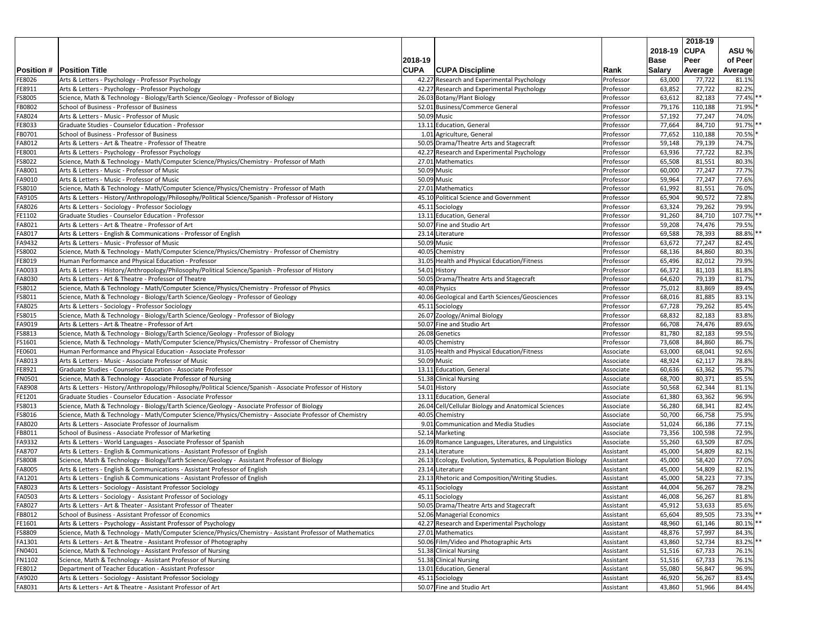|                  |                                                                                                                                                                             |             |                                                             |                        |               | 2018-19 |         |
|------------------|-----------------------------------------------------------------------------------------------------------------------------------------------------------------------------|-------------|-------------------------------------------------------------|------------------------|---------------|---------|---------|
|                  |                                                                                                                                                                             |             |                                                             |                        | 2018-19 CUPA  |         | ASU %   |
|                  |                                                                                                                                                                             | 2018-19     |                                                             |                        | <b>Base</b>   | Peer    | of Peer |
|                  | <b>Position # Position Title</b>                                                                                                                                            | <b>CUPA</b> | <b>CUPA Discipline</b>                                      | <b>Rank</b>            | <b>Salary</b> | Average | Average |
| FE8026           | Arts & Letters - Psychology - Professor Psychology                                                                                                                          |             | 42.27 Research and Experimental Psychology                  | Professor              | 63,000        | 77,722  | 81.1%   |
| FE8911           | Arts & Letters - Psychology - Professor Psychology                                                                                                                          |             | 42.27 Research and Experimental Psychology                  | Professor              | 63,852        | 77,722  | 82.2%   |
| FS8005           | Science, Math & Technology - Biology/Earth Science/Geology - Professor of Biology                                                                                           |             | 26.03 Botany/Plant Biology                                  | Professor              | 63,612        | 82,183  | 77.4%   |
| <b>FB0802</b>    | School of Business - Professor of Business                                                                                                                                  |             | 52.01 Business/Commerce General                             | Professor              | 79,176        | 110,188 | 71.9%   |
| FA8024           | Arts & Letters - Music - Professor of Music                                                                                                                                 |             | 50.09 Music                                                 | Professor              | 57,192        | 77,247  | 74.0%   |
| FE8033           | Graduate Studies - Counselor Education - Professor                                                                                                                          |             | 13.11 Education, General                                    | Professor              | 77,664        | 84,710  | 91.7%   |
| FB0701           | School of Business - Professor of Business                                                                                                                                  |             | 1.01 Agriculture, General                                   | Professor              | 77,652        | 110,188 | 70.5%   |
| FA8012           | Arts & Letters - Art & Theatre - Professor of Theatre                                                                                                                       |             | 50.05 Drama/Theatre Arts and Stagecraft                     | Professor              | 59,148        | 79,139  | 74.7%   |
| FE8001           | Arts & Letters - Psychology - Professor Psychology                                                                                                                          |             | 42.27 Research and Experimental Psychology                  | Professor              | 63,936        | 77,722  | 82.3%   |
| FS8022           | Science, Math & Technology - Math/Computer Science/Physics/Chemistry - Professor of Math                                                                                    |             | 27.01 Mathematics                                           | Professor              | 65,508        | 81,551  | 80.3%   |
| FA8001           | Arts & Letters - Music - Professor of Music                                                                                                                                 |             | 50.09 Music                                                 | Professor              | 60,000        | 77,247  | 77.7%   |
| FA9010           | Arts & Letters - Music - Professor of Music                                                                                                                                 |             | 50.09 Music                                                 | Professor              | 59,964        | 77,247  | 77.6%   |
| FS8010           | Science, Math & Technology - Math/Computer Science/Physics/Chemistry - Professor of Math                                                                                    |             | 27.01 Mathematics                                           | Professor              | 61,992        | 81,551  | 76.0%   |
| FA9105           | Arts & Letters - History/Anthropology/Philosophy/Political Science/Spanish - Professor of History                                                                           |             | 45.10 Political Science and Government                      | Professor              | 65,904        | 90,572  | 72.8%   |
| FA8026           | Arts & Letters - Sociology - Professor Sociology                                                                                                                            |             | 45.11 Sociology                                             | Professor              | 63,324        | 79,262  | 79.9%   |
| FE1102           | Graduate Studies - Counselor Education - Professor                                                                                                                          |             | 13.11 Education, General                                    | Professor              | 91,260        | 84,710  | 107.7%  |
| FA8021           | Arts & Letters - Art & Theatre - Professor of Art                                                                                                                           |             | 50.07 Fine and Studio Art                                   | Professor              | 59,208        | 74,476  | 79.5%   |
| FA8017           | Arts & Letters - English & Communications - Professor of English                                                                                                            |             | 23.14 Literature                                            | Professor              | 69,588        | 78,393  | 88.8%   |
| FA9432           | Arts & Letters - Music - Professor of Music                                                                                                                                 |             | 50.09 Music                                                 | Professor              | 63,672        | 77,247  | 82.4%   |
| FS8002           | Science, Math & Technology - Math/Computer Science/Physics/Chemistry - Professor of Chemistry                                                                               |             | 40.05 Chemistry                                             | Professor              | 68,136        | 84,860  | 80.3%   |
| FE8019           | Human Performance and Physical Education - Professor                                                                                                                        |             | 31.05 Health and Physical Education/Fitness                 | Professor              | 65,496        | 82,012  | 79.9%   |
| FA0033           | Arts & Letters - History/Anthropology/Philosophy/Political Science/Spanish - Professor of History                                                                           |             | 54.01 History                                               | Professor              | 66,372        | 81,103  | 81.8%   |
| FA8030           | Arts & Letters - Art & Theatre - Professor of Theatre                                                                                                                       |             | 50.05 Drama/Theatre Arts and Stagecraft                     | Professor              | 64,620        | 79,139  | 81.7%   |
| FS8012           | Science, Math & Technology - Math/Computer Science/Physics/Chemistry - Professor of Physics                                                                                 |             | 40.08 Physics                                               | Professor              | 75,012        | 83,869  | 89.4%   |
| FS8011           | Science, Math & Technology - Biology/Earth Science/Geology - Professor of Geology                                                                                           |             | 40.06 Geological and Earth Sciences/Geosciences             | Professor              | 68,016        | 81,885  | 83.1%   |
| FA8025           | Arts & Letters - Sociology - Professor Sociology                                                                                                                            |             | 45.11 Sociology                                             | Professor              | 67,728        | 79,262  | 85.4%   |
| FS8015           | Science, Math & Technology - Biology/Earth Science/Geology - Professor of Biology                                                                                           |             | 26.07 Zoology/Animal Biology                                | Professor              | 68,832        | 82,183  | 83.8%   |
| FA9019           | Arts & Letters - Art & Theatre - Professor of Art                                                                                                                           |             | 50.07 Fine and Studio Art                                   | Professor              | 66,708        | 74,476  | 89.6%   |
| FS8813           | Science, Math & Technology - Biology/Earth Science/Geology - Professor of Biology                                                                                           |             | 26.08 Genetics                                              | Professor              | 81,780        | 82,183  | 99.5%   |
| FS1601           | Science, Math & Technology - Math/Computer Science/Physics/Chemistry - Professor of Chemistry                                                                               |             | 40.05 Chemistry                                             | Professor              | 73,608        | 84,860  | 86.7%   |
| FE0601           | Human Performance and Physical Education - Associate Professor                                                                                                              |             | 31.05 Health and Physical Education/Fitness                 | Associate              | 63,000        | 68,041  | 92.6%   |
|                  | Arts & Letters - Music - Associate Professor of Music                                                                                                                       |             | 50.09 Music                                                 |                        | 48,924        | 62,117  | 78.8%   |
| FA8013<br>FE8921 | Graduate Studies - Counselor Education - Associate Professor                                                                                                                |             | 13.11 Education, General                                    | Associate              | 60,636        | 63,362  | 95.7%   |
| <b>FN0501</b>    | Science, Math & Technology - Associate Professor of Nursing                                                                                                                 |             | 51.38 Clinical Nursing                                      | Associate<br>Associate | 68,700        | 80,371  | 85.5%   |
|                  |                                                                                                                                                                             |             |                                                             |                        | 50,568        | 62,344  | 81.1%   |
| FA8908           | Arts & Letters - History/Anthropology/Philosophy/Political Science/Spanish - Associate Professor of History<br>Graduate Studies - Counselor Education - Associate Professor |             | 54.01 History<br>13.11 Education, General                   | Associate              |               | 63,362  | 96.9%   |
| FE1201           |                                                                                                                                                                             |             |                                                             | Associate              | 61,380        |         |         |
| FS8013           | Science, Math & Technology - Biology/Earth Science/Geology - Associate Professor of Biology                                                                                 |             | 26.04 Cell/Cellular Biology and Anatomical Sciences         | Associate              | 56,280        | 68,341  | 82.4%   |
| FS8016           | Science, Math & Technology - Math/Computer Science/Physics/Chemistry - Associate Professor of Chemistry                                                                     |             | 40.05 Chemistry                                             | Associate              | 50,700        | 66,758  | 75.9%   |
| FA8020           | Arts & Letters - Associate Professor of Journalism                                                                                                                          |             | 9.01 Communication and Media Studies                        | Associate              | 51,024        | 66,186  | 77.1%   |
| FB8011           | School of Business - Associate Professor of Marketing                                                                                                                       |             | 52.14 Marketing                                             | Associate              | 73,356        | 100,598 | 72.9%   |
| FA9332           | Arts & Letters - World Languages - Associate Professor of Spanish                                                                                                           |             | 16.09 Romance Languages, Literatures, and Linguistics       | Associate              | 55,260        | 63,509  | 87.0%   |
| FA8707           | Arts & Letters - English & Communications - Assistant Professor of English                                                                                                  |             | 23.14 Literature                                            | Assistant              | 45,000        | 54,809  | 82.1%   |
| FS8008           | Science, Math & Technology - Biology/Earth Science/Geology - Assistant Professor of Biology                                                                                 |             | 26.13 Ecology, Evolution, Systematics, & Population Biology | Assistant              | 45,000        | 58,420  | 77.0%   |
| FA8005           | Arts & Letters - English & Communications - Assistant Professor of English                                                                                                  |             | 23.14 Literature                                            | Assistant              | 45,000        | 54,809  | 82.1%   |
| FA1201           | Arts & Letters - English & Communications - Assistant Professor of English                                                                                                  |             | 23.13 Rhetoric and Composition/Writing Studies.             | Assistant              | 45,000        | 58,223  | 77.3%   |
| FA8023           | Arts & Letters - Sociology - Assistant Professor Sociology                                                                                                                  |             | 45.11 Sociology                                             | Assistant              | 44,004        | 56,267  | 78.2%   |
| FA0503           | Arts & Letters - Sociology - Assistant Professor of Sociology                                                                                                               |             | 45.11 Sociology                                             | Assistant              | 46,008        | 56,267  | 81.8%   |
| FA8027           | Arts & Letters - Art & Theater - Assistant Professor of Theater                                                                                                             |             | 50.05 Drama/Theatre Arts and Stagecraft                     | Assistant              | 45,912        | 53,633  | 85.6%   |
| FB8012           | School of Business - Assistant Professor of Economics                                                                                                                       |             | 52.06 Managerial Economics                                  | Assistant              | 65,604        | 89,505  | 73.3%   |
| FE1601           | Arts & Letters - Psychology - Assistant Professor of Psychology                                                                                                             |             | 42.27 Research and Experimental Psychology                  | Assistant              | 48,960        | 61,146  | 80.1%   |
| FS8809           | Science, Math & Technology - Math/Computer Science/Physics/Chemistry - Assistant Professor of Mathematics                                                                   |             | 27.01 Mathematics                                           | Assistant              | 48,876        | 57,997  | 84.3%   |
| FA1301           | Arts & Letters - Art & Theatre - Assistant Professor of Photography                                                                                                         |             | 50.06 Film/Video and Photographic Arts                      | Assistant              | 43,860        | 52,734  | 83.2%   |
| FN0401           | Science, Math & Technology - Assistant Professor of Nursing                                                                                                                 |             | 51.38 Clinical Nursing                                      | Assistant              | 51,516        | 67,733  | 76.1%   |
| FN1102           | Science, Math & Technology - Assistant Professor of Nursing                                                                                                                 |             | 51.38 Clinical Nursing                                      | Assistant              | 51,516        | 67,733  | 76.1%   |
| FE8012           | Department of Teacher Education - Assistant Professor                                                                                                                       |             | 13.01 Education, General                                    | Assistant              | 55,080        | 56,847  | 96.9%   |
| FA9020           | Arts & Letters - Sociology - Assistant Professor Sociology                                                                                                                  |             | 45.11 Sociology                                             | Assistant              | 46,920        | 56,267  | 83.4%   |
| FA8031           | Arts & Letters - Art & Theatre - Assistant Professor of Art                                                                                                                 |             | 50.07 Fine and Studio Art                                   | Assistant              | 43,860        | 51,966  | 84.4%   |
|                  |                                                                                                                                                                             |             |                                                             |                        |               |         |         |